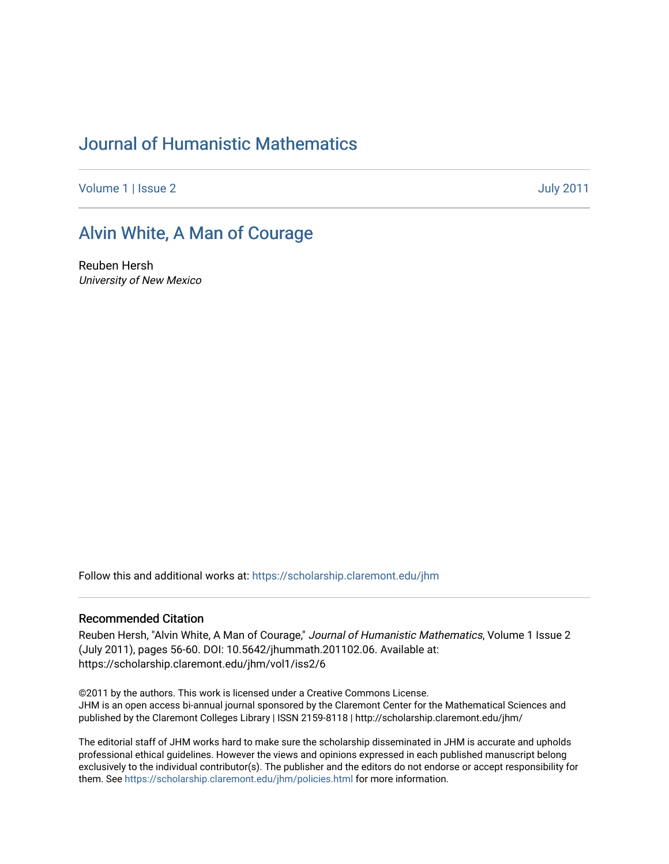# [Journal of Humanistic Mathematics](https://scholarship.claremont.edu/jhm)

[Volume 1](https://scholarship.claremont.edu/jhm/vol1) | [Issue 2](https://scholarship.claremont.edu/jhm/vol1/iss2) [July 2011](https://scholarship.claremont.edu/jhm/vol1/iss2) 

### [Alvin White, A Man of Courage](https://scholarship.claremont.edu/jhm/vol1/iss2/6)

Reuben Hersh University of New Mexico

Follow this and additional works at: [https://scholarship.claremont.edu/jhm](https://scholarship.claremont.edu/jhm?utm_source=scholarship.claremont.edu%2Fjhm%2Fvol1%2Fiss2%2F6&utm_medium=PDF&utm_campaign=PDFCoverPages)

#### Recommended Citation

Reuben Hersh, "Alvin White, A Man of Courage," Journal of Humanistic Mathematics, Volume 1 Issue 2 (July 2011), pages 56-60. DOI: 10.5642/jhummath.201102.06. Available at: https://scholarship.claremont.edu/jhm/vol1/iss2/6

©2011 by the authors. This work is licensed under a Creative Commons License. JHM is an open access bi-annual journal sponsored by the Claremont Center for the Mathematical Sciences and published by the Claremont Colleges Library | ISSN 2159-8118 | http://scholarship.claremont.edu/jhm/

The editorial staff of JHM works hard to make sure the scholarship disseminated in JHM is accurate and upholds professional ethical guidelines. However the views and opinions expressed in each published manuscript belong exclusively to the individual contributor(s). The publisher and the editors do not endorse or accept responsibility for them. See<https://scholarship.claremont.edu/jhm/policies.html> for more information.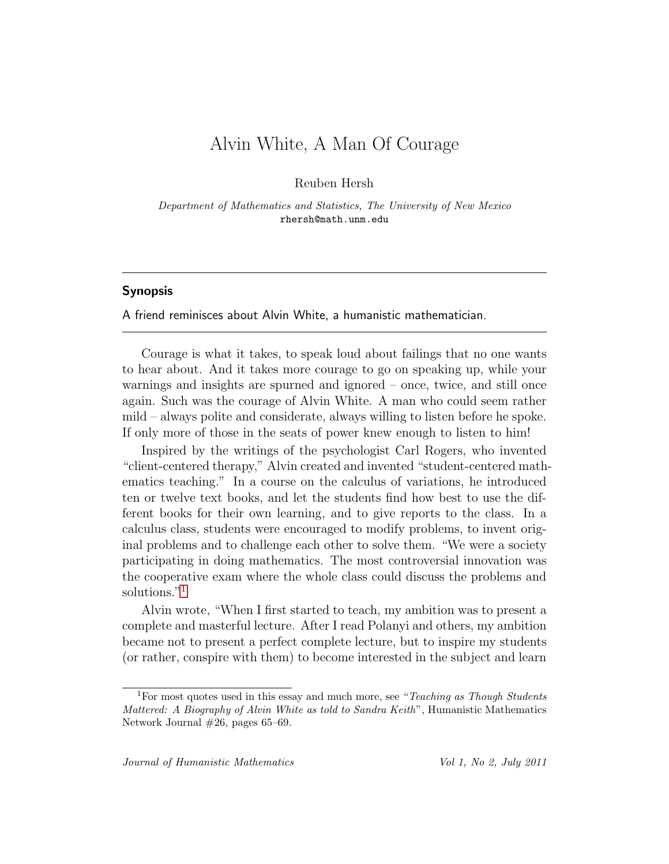# Alvin White, A Man Of Courage

Reuben Hersh

*Department of Mathematics and Statistics, The University of New Mexico* rhersh@math.unm.edu

#### Synopsis

A friend reminisces about Alvin White, a humanistic mathematician.

Courage is what it takes, to speak loud about failings that no one wants to hear about. And it takes more courage to go on speaking up, while your warnings and insights are spurned and ignored – once, twice, and still once again. Such was the courage of Alvin White. A man who could seem rather mild – always polite and considerate, always willing to listen before he spoke. If only more of those in the seats of power knew enough to listen to him!

Inspired by the writings of the psychologist Carl Rogers, who invented "client-centered therapy," Alvin created and invented "student-centered mathematics teaching." In a course on the calculus of variations, he introduced ten or twelve text books, and let the students find how best to use the different books for their own learning, and to give reports to the class. In a calculus class, students were encouraged to modify problems, to invent original problems and to challenge each other to solve them. "We were a society participating in doing mathematics. The most controversial innovation was the cooperative exam where the whole class could discuss the problems and solutions."<sup>[1](#page-1-0)</sup>

Alvin wrote, "When I first started to teach, my ambition was to present a complete and masterful lecture. After I read Polanyi and others, my ambition became not to present a perfect complete lecture, but to inspire my students (or rather, conspire with them) to become interested in the subject and learn

<span id="page-1-0"></span><sup>1</sup>For most quotes used in this essay and much more, see "*Teaching as Though Students Mattered: A Biography of Alvin White as told to Sandra Keith*", Humanistic Mathematics Network Journal #26, pages 65–69.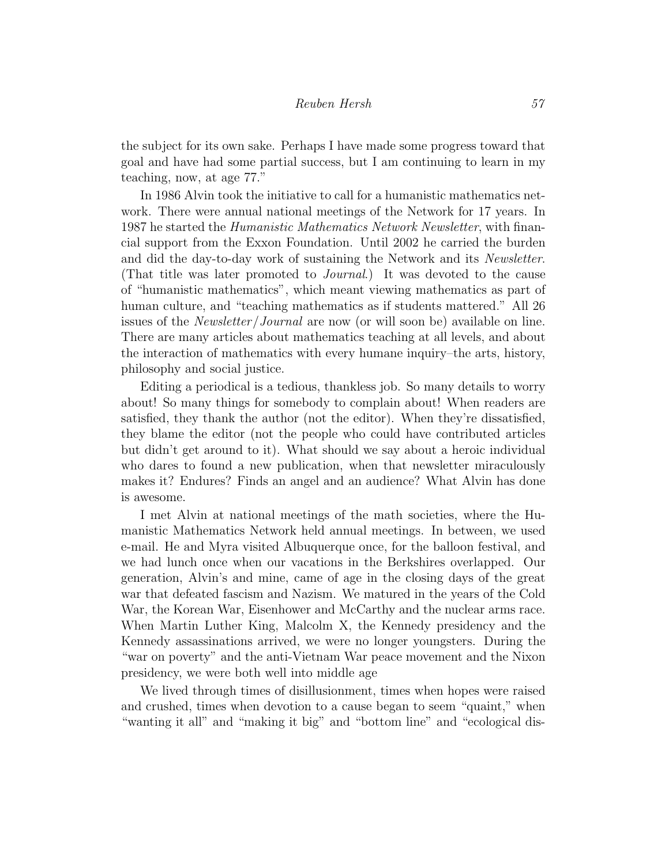the subject for its own sake. Perhaps I have made some progress toward that goal and have had some partial success, but I am continuing to learn in my teaching, now, at age 77."

In 1986 Alvin took the initiative to call for a humanistic mathematics network. There were annual national meetings of the Network for 17 years. In 1987 he started the *Humanistic Mathematics Network Newsletter*, with financial support from the Exxon Foundation. Until 2002 he carried the burden and did the day-to-day work of sustaining the Network and its *Newsletter*. (That title was later promoted to *Journal*.) It was devoted to the cause of "humanistic mathematics", which meant viewing mathematics as part of human culture, and "teaching mathematics as if students mattered." All 26 issues of the *Newsletter*/*Journal* are now (or will soon be) available on line. There are many articles about mathematics teaching at all levels, and about the interaction of mathematics with every humane inquiry–the arts, history, philosophy and social justice.

Editing a periodical is a tedious, thankless job. So many details to worry about! So many things for somebody to complain about! When readers are satisfied, they thank the author (not the editor). When they're dissatisfied, they blame the editor (not the people who could have contributed articles but didn't get around to it). What should we say about a heroic individual who dares to found a new publication, when that newsletter miraculously makes it? Endures? Finds an angel and an audience? What Alvin has done is awesome.

I met Alvin at national meetings of the math societies, where the Humanistic Mathematics Network held annual meetings. In between, we used e-mail. He and Myra visited Albuquerque once, for the balloon festival, and we had lunch once when our vacations in the Berkshires overlapped. Our generation, Alvin's and mine, came of age in the closing days of the great war that defeated fascism and Nazism. We matured in the years of the Cold War, the Korean War, Eisenhower and McCarthy and the nuclear arms race. When Martin Luther King, Malcolm X, the Kennedy presidency and the Kennedy assassinations arrived, we were no longer youngsters. During the "war on poverty" and the anti-Vietnam War peace movement and the Nixon presidency, we were both well into middle age

We lived through times of disillusionment, times when hopes were raised and crushed, times when devotion to a cause began to seem "quaint," when "wanting it all" and "making it big" and "bottom line" and "ecological dis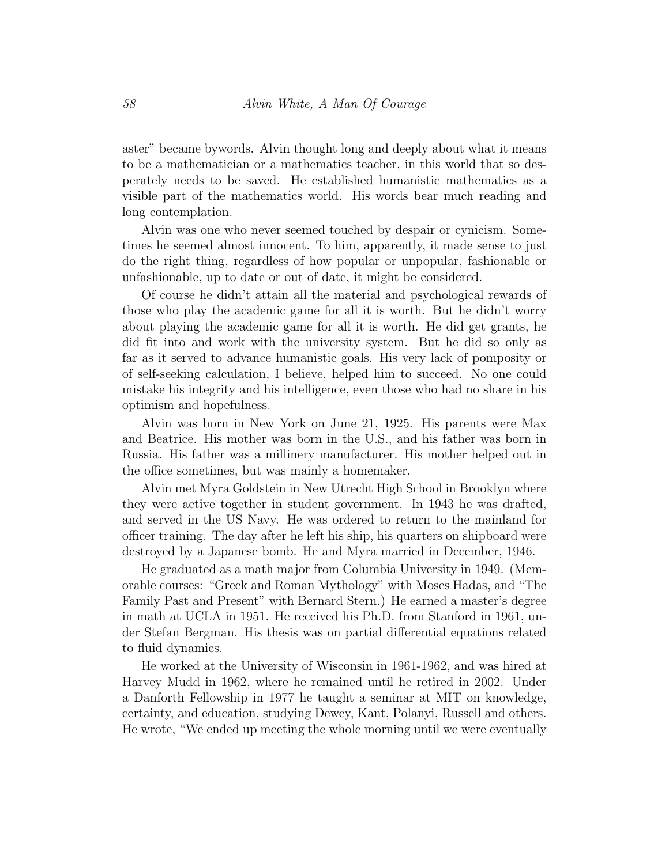aster" became bywords. Alvin thought long and deeply about what it means to be a mathematician or a mathematics teacher, in this world that so desperately needs to be saved. He established humanistic mathematics as a visible part of the mathematics world. His words bear much reading and long contemplation.

Alvin was one who never seemed touched by despair or cynicism. Sometimes he seemed almost innocent. To him, apparently, it made sense to just do the right thing, regardless of how popular or unpopular, fashionable or unfashionable, up to date or out of date, it might be considered.

Of course he didn't attain all the material and psychological rewards of those who play the academic game for all it is worth. But he didn't worry about playing the academic game for all it is worth. He did get grants, he did fit into and work with the university system. But he did so only as far as it served to advance humanistic goals. His very lack of pomposity or of self-seeking calculation, I believe, helped him to succeed. No one could mistake his integrity and his intelligence, even those who had no share in his optimism and hopefulness.

Alvin was born in New York on June 21, 1925. His parents were Max and Beatrice. His mother was born in the U.S., and his father was born in Russia. His father was a millinery manufacturer. His mother helped out in the office sometimes, but was mainly a homemaker.

Alvin met Myra Goldstein in New Utrecht High School in Brooklyn where they were active together in student government. In 1943 he was drafted, and served in the US Navy. He was ordered to return to the mainland for officer training. The day after he left his ship, his quarters on shipboard were destroyed by a Japanese bomb. He and Myra married in December, 1946.

He graduated as a math major from Columbia University in 1949. (Memorable courses: "Greek and Roman Mythology" with Moses Hadas, and "The Family Past and Present" with Bernard Stern.) He earned a master's degree in math at UCLA in 1951. He received his Ph.D. from Stanford in 1961, under Stefan Bergman. His thesis was on partial differential equations related to fluid dynamics.

He worked at the University of Wisconsin in 1961-1962, and was hired at Harvey Mudd in 1962, where he remained until he retired in 2002. Under a Danforth Fellowship in 1977 he taught a seminar at MIT on knowledge, certainty, and education, studying Dewey, Kant, Polanyi, Russell and others. He wrote, "We ended up meeting the whole morning until we were eventually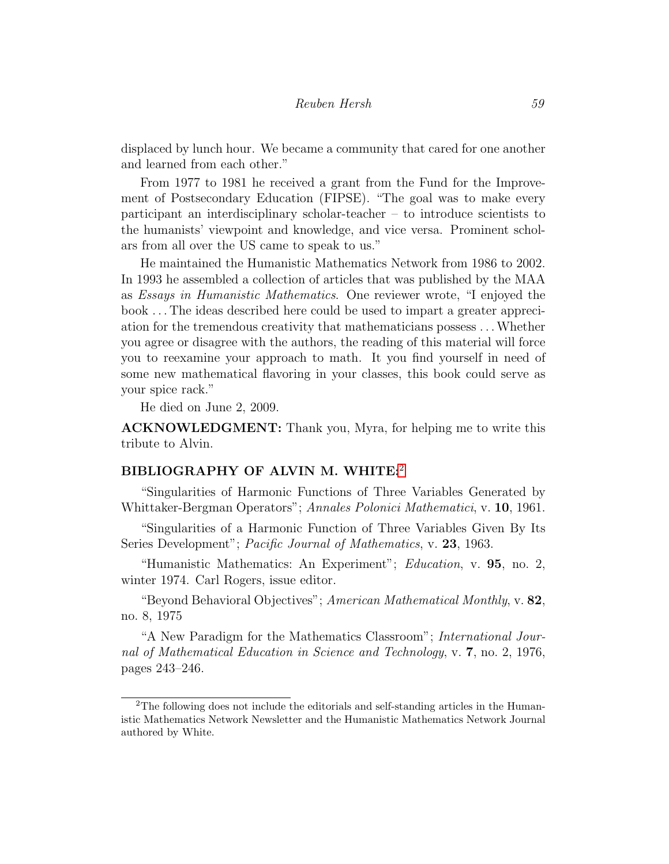displaced by lunch hour. We became a community that cared for one another and learned from each other."

From 1977 to 1981 he received a grant from the Fund for the Improvement of Postsecondary Education (FIPSE). "The goal was to make every participant an interdisciplinary scholar-teacher – to introduce scientists to the humanists' viewpoint and knowledge, and vice versa. Prominent scholars from all over the US came to speak to us."

He maintained the Humanistic Mathematics Network from 1986 to 2002. In 1993 he assembled a collection of articles that was published by the MAA as *Essays in Humanistic Mathematics*. One reviewer wrote, "I enjoyed the book . . . The ideas described here could be used to impart a greater appreciation for the tremendous creativity that mathematicians possess . . .Whether you agree or disagree with the authors, the reading of this material will force you to reexamine your approach to math. It you find yourself in need of some new mathematical flavoring in your classes, this book could serve as your spice rack."

He died on June 2, 2009.

ACKNOWLEDGMENT: Thank you, Myra, for helping me to write this tribute to Alvin.

### BIBLIOGRAPHY OF ALVIN M. WHITE:[2](#page-4-0)

"Singularities of Harmonic Functions of Three Variables Generated by Whittaker-Bergman Operators"; *Annales Polonici Mathematici*, v. 10, 1961.

"Singularities of a Harmonic Function of Three Variables Given By Its Series Development"; *Pacific Journal of Mathematics*, v. 23, 1963.

"Humanistic Mathematics: An Experiment"; *Education*, v. 95, no. 2, winter 1974. Carl Rogers, issue editor.

"Beyond Behavioral Objectives"; *American Mathematical Monthly*, v. 82, no. 8, 1975

"A New Paradigm for the Mathematics Classroom"; *International Journal of Mathematical Education in Science and Technology*, v. 7, no. 2, 1976, pages 243–246.

<span id="page-4-0"></span><sup>&</sup>lt;sup>2</sup>The following does not include the editorials and self-standing articles in the Humanistic Mathematics Network Newsletter and the Humanistic Mathematics Network Journal authored by White.